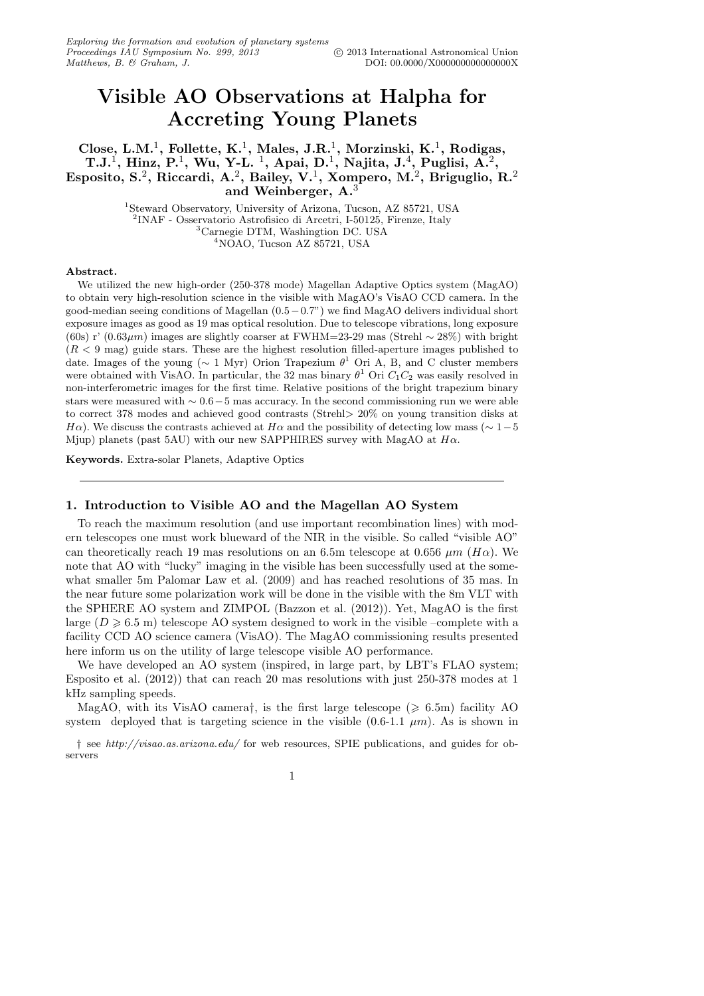# Visible AO Observations at Halpha for Accreting Young Planets

Close, L.M.<sup>1</sup>, Follette, K.<sup>1</sup>, Males, J.R.<sup>1</sup>, Morzinski, K.<sup>1</sup>, Rodigas, T.J.<sup>1</sup>, Hinz, P.<sup>1</sup>, Wu, Y-L. <sup>1</sup>, Apai, D.<sup>1</sup>, Najita, J.<sup>4</sup>, Puglisi, A.<sup>2</sup>, Esposito, S.<sup>2</sup>, Riccardi, A.<sup>2</sup>, Bailey, V.<sup>1</sup>, Xompero, M.<sup>2</sup>, Briguglio, R.<sup>2</sup> and Weinberger, A.<sup>3</sup>

> Steward Observatory, University of Arizona, Tucson, AZ 85721, USA INAF - Osservatorio Astrofisico di Arcetri, I-50125, Firenze, Italy Carnegie DTM, Washingtion DC. USA NOAO, Tucson AZ 85721, USA

#### Abstract.

We utilized the new high-order (250-378 mode) Magellan Adaptive Optics system (MagAO) to obtain very high-resolution science in the visible with MagAO's VisAO CCD camera. In the good-median seeing conditions of Magellan (0.5−0.7") we find MagAO delivers individual short exposure images as good as 19 mas optical resolution. Due to telescope vibrations, long exposure (60s) r' (0.63 $\mu$ m) images are slightly coarser at FWHM=23-29 mas (Strehl ~ 28%) with bright  $(R < 9$  mag) guide stars. These are the highest resolution filled-aperture images published to date. Images of the young ( $\sim 1$  Myr) Orion Trapezium  $\theta$ <sup>1</sup> Ori A, B, and C cluster members were obtained with VisAO. In particular, the 32 mas binary  $\theta^1$  Ori  $C_1C_2$  was easily resolved in non-interferometric images for the first time. Relative positions of the bright trapezium binary stars were measured with  $\sim 0.6-5$  mas accuracy. In the second commissioning run we were able to correct 378 modes and achieved good contrasts (Strehl> 20% on young transition disks at  $H\alpha$ ). We discuss the contrasts achieved at  $H\alpha$  and the possibility of detecting low mass ( $\sim 1-5$ Mjup) planets (past 5AU) with our new SAPPHIRES survey with MagAO at  $H\alpha$ .

Keywords. Extra-solar Planets, Adaptive Optics

#### 1. Introduction to Visible AO and the Magellan AO System

To reach the maximum resolution (and use important recombination lines) with modern telescopes one must work blueward of the NIR in the visible. So called "visible AO" can theoretically reach 19 mas resolutions on an 6.5m telescope at 0.656  $\mu$ m (H $\alpha$ ). We note that AO with "lucky" imaging in the visible has been successfully used at the somewhat smaller 5m Palomar Law et al. (2009) and has reached resolutions of 35 mas. In the near future some polarization work will be done in the visible with the 8m VLT with the SPHERE AO system and ZIMPOL (Bazzon et al. (2012)). Yet, MagAO is the first large  $(D \ge 6.5 \text{ m})$  telescope AO system designed to work in the visible –complete with a facility CCD AO science camera (VisAO). The MagAO commissioning results presented here inform us on the utility of large telescope visible AO performance.

We have developed an AO system (inspired, in large part, by LBT's FLAO system; Esposito et al. (2012)) that can reach 20 mas resolutions with just 250-378 modes at 1 kHz sampling speeds.

MagAO, with its VisAO camera<sup>†</sup>, is the first large telescope ( $\geq 6.5$ m) facility AO system deployed that is targeting science in the visible  $(0.6-1.1 \mu m)$ . As is shown in

† see *http://visao.as.arizona.edu/* for web resources, SPIE publications, and guides for observers